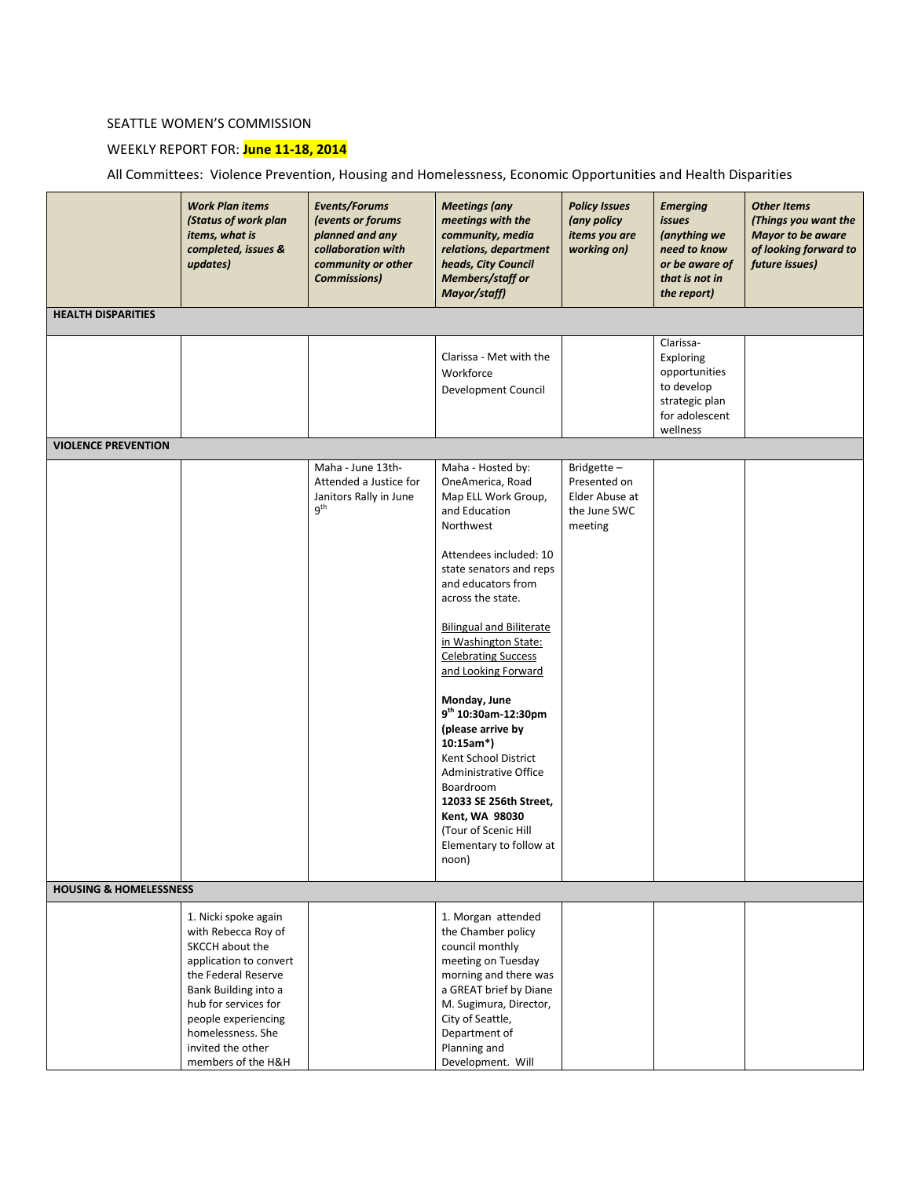## SEATTLE WOMEN'S COMMISSION

## WEEKLY REPORT FOR: **June 11-18, 2014**

All Committees: Violence Prevention, Housing and Homelessness, Economic Opportunities and Health Disparities

|                                   | <b>Work Plan items</b><br>(Status of work plan<br>items, what is<br>completed, issues &<br>updates)                                                                                                                                                    | Events/Forums<br>(events or forums<br>planned and any<br>collaboration with<br>community or other<br><b>Commissions</b> ) | <b>Meetings</b> (any<br>meetings with the<br>community, media<br>relations, department<br>heads, City Council<br><b>Members/staff or</b><br>Mayor/staff)                                                                                                                                                                                                                                                                                                                                                                                                              | <b>Policy Issues</b><br>(any policy<br>items you are<br>working on)     | <b>Emerging</b><br><i>issues</i><br>(anything we<br>need to know<br>or be aware of<br>that is not in<br>the report) | <b>Other Items</b><br>(Things you want the<br>Mayor to be aware<br>of looking forward to<br>future issues) |
|-----------------------------------|--------------------------------------------------------------------------------------------------------------------------------------------------------------------------------------------------------------------------------------------------------|---------------------------------------------------------------------------------------------------------------------------|-----------------------------------------------------------------------------------------------------------------------------------------------------------------------------------------------------------------------------------------------------------------------------------------------------------------------------------------------------------------------------------------------------------------------------------------------------------------------------------------------------------------------------------------------------------------------|-------------------------------------------------------------------------|---------------------------------------------------------------------------------------------------------------------|------------------------------------------------------------------------------------------------------------|
| <b>HEALTH DISPARITIES</b>         |                                                                                                                                                                                                                                                        |                                                                                                                           |                                                                                                                                                                                                                                                                                                                                                                                                                                                                                                                                                                       |                                                                         |                                                                                                                     |                                                                                                            |
|                                   |                                                                                                                                                                                                                                                        |                                                                                                                           | Clarissa - Met with the<br>Workforce<br>Development Council                                                                                                                                                                                                                                                                                                                                                                                                                                                                                                           |                                                                         | Clarissa-<br>Exploring<br>opportunities<br>to develop<br>strategic plan<br>for adolescent<br>wellness               |                                                                                                            |
| <b>VIOLENCE PREVENTION</b>        |                                                                                                                                                                                                                                                        |                                                                                                                           |                                                                                                                                                                                                                                                                                                                                                                                                                                                                                                                                                                       |                                                                         |                                                                                                                     |                                                                                                            |
|                                   |                                                                                                                                                                                                                                                        | Maha - June 13th-<br>Attended a Justice for<br>Janitors Rally in June<br>9 <sup>th</sup>                                  | Maha - Hosted by:<br>OneAmerica, Road<br>Map ELL Work Group,<br>and Education<br>Northwest<br>Attendees included: 10<br>state senators and reps<br>and educators from<br>across the state.<br><b>Bilingual and Biliterate</b><br>in Washington State:<br><b>Celebrating Success</b><br>and Looking Forward<br>Monday, June<br>9 <sup>th</sup> 10:30am-12:30pm<br>(please arrive by<br>10:15am*)<br>Kent School District<br>Administrative Office<br>Boardroom<br>12033 SE 256th Street,<br>Kent, WA 98030<br>(Tour of Scenic Hill<br>Elementary to follow at<br>noon) | Bridgette-<br>Presented on<br>Elder Abuse at<br>the June SWC<br>meeting |                                                                                                                     |                                                                                                            |
| <b>HOUSING &amp; HOMELESSNESS</b> |                                                                                                                                                                                                                                                        |                                                                                                                           |                                                                                                                                                                                                                                                                                                                                                                                                                                                                                                                                                                       |                                                                         |                                                                                                                     |                                                                                                            |
|                                   | 1. Nicki spoke again<br>with Rebecca Roy of<br>SKCCH about the<br>application to convert<br>the Federal Reserve<br>Bank Building into a<br>hub for services for<br>people experiencing<br>homelessness. She<br>invited the other<br>members of the H&H |                                                                                                                           | 1. Morgan attended<br>the Chamber policy<br>council monthly<br>meeting on Tuesday<br>morning and there was<br>a GREAT brief by Diane<br>M. Sugimura, Director,<br>City of Seattle,<br>Department of<br>Planning and<br>Development. Will                                                                                                                                                                                                                                                                                                                              |                                                                         |                                                                                                                     |                                                                                                            |